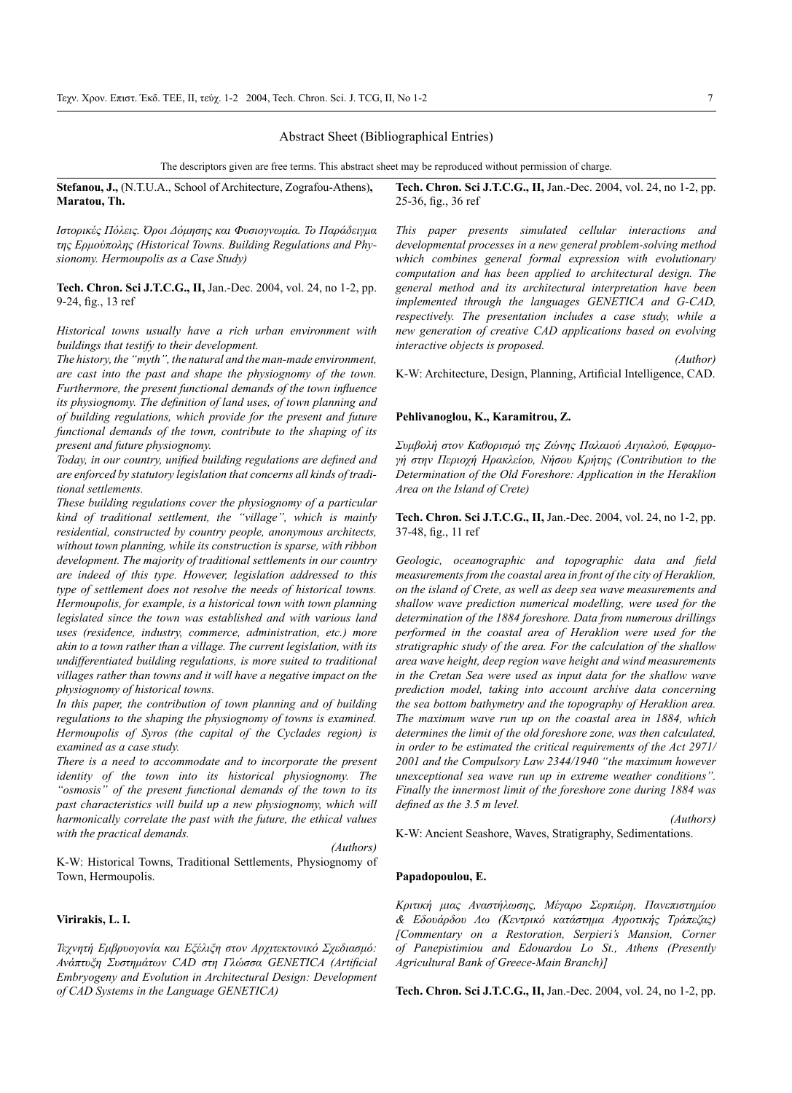# Abstract Sheet (Bibliographical Entries)

The descriptors given are free terms. This abstract sheet may be reproduced without permission of charge.

**Stefanou, J.,** (N.T.U.A., School of Architecture, Zografou-Athens)**, Maratou, Th.**

*Ιστορικές Πόλεις. Όροι Δόμησης και Φυσιογνωμία. Το Παράδειγμα της Ερμούπολης (Historical Towns. Building Regulations and Physionomy. Hermoupolis as a Case Study)*

**Tech. Chron. Sci J.T.C.G., II,** Jan.-Dec. 2004, vol. 24, no 1-2, pp. 9-24, fig., 13 ref

*Historical towns usually have a rich urban environment with buildings that testify to their development.*

*The history, the "myth", the natural and the man-made environment, are cast into the past and shape the physiognomy of the town. Furthermore, the present functional demands of the town influence its physiognomy. The definition of land uses, of town planning and of building regulations, which provide for the present and future functional demands of the town, contribute to the shaping of its present and future physiognomy.*

*Today, in our country, unified building regulations are defined and are enforced by statutory legislation that concerns all kinds of traditional settlements.*

*These building regulations cover the physiognomy of a particular kind of traditional settlement, the "village", which is mainly residential, constructed by country people, anonymous architects, without town planning, while its construction is sparse, with ribbon development. The majority of traditional settlements in our country are indeed of this type. However, legislation addressed to this type of settlement does not resolve the needs of historical towns. Hermoupolis, for example, is a historical town with town planning legislated since the town was established and with various land uses (residence, industry, commerce, administration, etc.) more akin to a town rather than a village. The current legislation, with its undifferentiated building regulations, is more suited to traditional villages rather than towns and it will have a negative impact on the physiognomy of historical towns.*

*In this paper, the contribution of town planning and of building regulations to the shaping the physiognomy of towns is examined. Hermoupolis of Syros (the capital of the Cyclades region) is examined as a case study.*

*There is a need to accommodate and to incorporate the present identity of the town into its historical physiognomy. The "osmosis" of the present functional demands of the town to its past characteristics will build up a new physiognomy, which will harmonically correlate the past with the future, the ethical values with the practical demands.*

*(Authors)*

K-W: Historical Towns, Traditional Settlements, Physiognomy of Town, Hermoupolis.

# **Virirakis, L. I.**

*Τεχνητή Εμβρυογονία και Εξέλιξη στον Αρχιτεκτονικό Σχεδιασμό: Ανάπτυξη Συστημάτων CAD στη Γλώσσα GENETICA (Artificial Embryogeny and Evolution in Architectural Design: Development of CAD Systems in the Language GENETICA)*

**Tech. Chron. Sci J.T.C.G., II,** Jan.-Dec. 2004, vol. 24, no 1-2, pp. 25-36, fig., 36 ref

*This paper presents simulated cellular interactions and developmental processes in a new general problem-solving method which combines general formal expression with evolutionary computation and has been applied to architectural design. The general method and its architectural interpretation have been implemented through the languages GENETICA and G-CAD, respectively. The presentation includes a case study, while a new generation of creative CAD applications based on evolving interactive objects is proposed.*

K-W: Architecture, Design, Planning, Artificial Intelligence, CAD.

### **Pehlivanoglou, K., Karamitrou, Z.**

*Συμβολή στον Καθορισμό της Ζώνης Παλαιού Αιγιαλού, Εφαρμογή στην Περιοχή Ηρακλείου, Νήσου Κρήτης (Contribution to the Determination of the Old Foreshore: Application in the Heraklion Area on the Island of Crete)*

**Tech. Chron. Sci J.T.C.G., II,** Jan.-Dec. 2004, vol. 24, no 1-2, pp. 37-48, fig., 11 ref

*Geologic, oceanographic and topographic data and field measurements from the coastal area in front of the city of Heraklion, on the island of Crete, as well as deep sea wave measurements and shallow wave prediction numerical modelling, were used for the determination of the 1884 foreshore. Data from numerous drillings performed in the coastal area of Heraklion were used for the stratigraphic study of the area. For the calculation of the shallow area wave height, deep region wave height and wind measurements in the Cretan Sea were used as input data for the shallow wave prediction model, taking into account archive data concerning the sea bottom bathymetry and the topography of Heraklion area. The maximum wave run up on the coastal area in 1884, which determines the limit of the old foreshore zone, was then calculated, in order to be estimated the critical requirements of the Act 2971/ 2001 and the Compulsory Law 2344/1940 "the maximum however unexceptional sea wave run up in extreme weather conditions". Finally the innermost limit of the foreshore zone during 1884 was defined as the 3.5 m level.*

*(Authors)*

K-W: Ancient Seashore, Waves, Stratigraphy, Sedimentations.

#### **Papadopoulou, E.**

*Κριτική μιας Αναστήλωσης, Μέγαρο Σερπιέρη, Πανεπιστημίου & Εδουάρδου Λω (Κεντρικό κατάστημα Αγροτικής Τράπεζας) [Commentary on a Restoration, Serpieri's Mansion, Corner of Panepistimiou and Edouardou Lo St., Athens (Presently Agricultural Bank of Greece-Main Branch)]*

**Tech. Chron. Sci J.T.C.G., II,** Jan.-Dec. 2004, vol. 24, no 1-2, pp.

*(Author)*